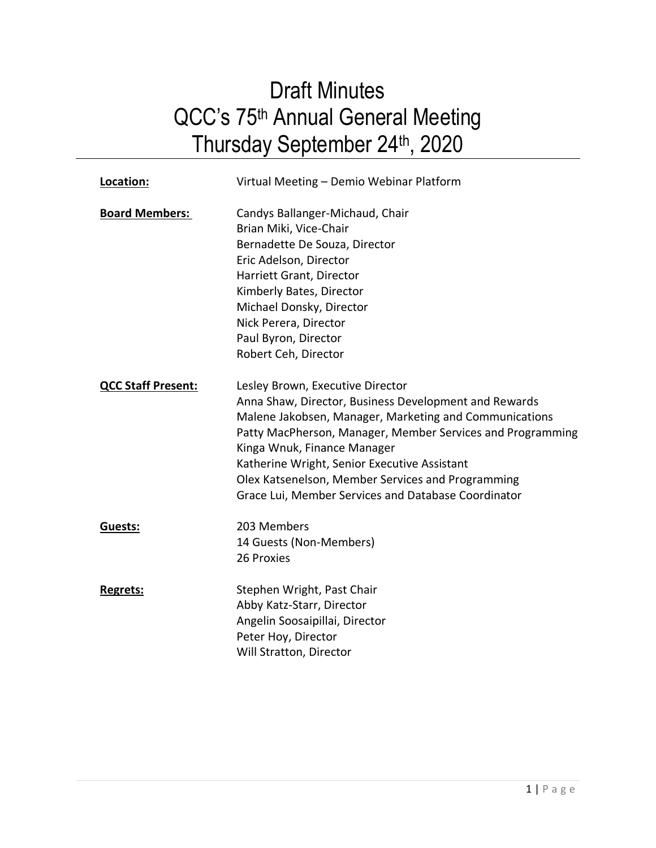# Draft Minutes QCC's 75<sup>th</sup> Annual General Meeting Thursday September 24<sup>th</sup>, 2020

| Location:                 | Virtual Meeting - Demio Webinar Platform                                                                                                                                                                                                                                                                                                                                                                     |
|---------------------------|--------------------------------------------------------------------------------------------------------------------------------------------------------------------------------------------------------------------------------------------------------------------------------------------------------------------------------------------------------------------------------------------------------------|
| <b>Board Members:</b>     | Candys Ballanger-Michaud, Chair<br>Brian Miki, Vice-Chair<br>Bernadette De Souza, Director<br>Eric Adelson, Director<br>Harriett Grant, Director<br>Kimberly Bates, Director<br>Michael Donsky, Director<br>Nick Perera, Director<br>Paul Byron, Director<br>Robert Ceh, Director                                                                                                                            |
| <b>QCC Staff Present:</b> | Lesley Brown, Executive Director<br>Anna Shaw, Director, Business Development and Rewards<br>Malene Jakobsen, Manager, Marketing and Communications<br>Patty MacPherson, Manager, Member Services and Programming<br>Kinga Wnuk, Finance Manager<br>Katherine Wright, Senior Executive Assistant<br>Olex Katsenelson, Member Services and Programming<br>Grace Lui, Member Services and Database Coordinator |
| Guests:                   | 203 Members<br>14 Guests (Non-Members)<br>26 Proxies                                                                                                                                                                                                                                                                                                                                                         |
| <b>Regrets:</b>           | Stephen Wright, Past Chair<br>Abby Katz-Starr, Director<br>Angelin Soosaipillai, Director<br>Peter Hoy, Director<br>Will Stratton, Director                                                                                                                                                                                                                                                                  |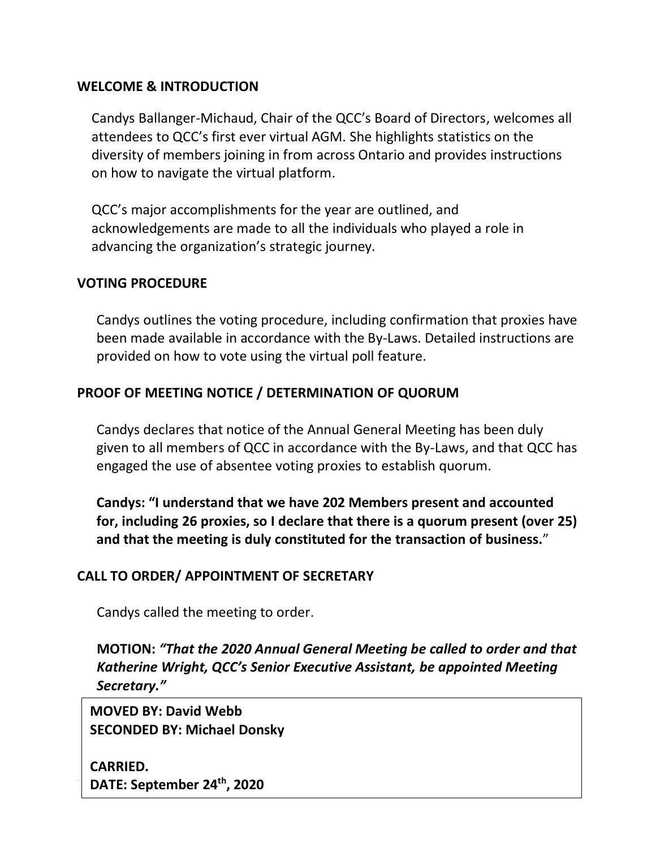## **WELCOME & INTRODUCTION**

Candys Ballanger-Michaud, Chair of the QCC's Board of Directors, welcomes all attendees to QCC's first ever virtual AGM. She highlights statistics on the diversity of members joining in from across Ontario and provides instructions on how to navigate the virtual platform.

QCC's major accomplishments for the year are outlined, and acknowledgements are made to all the individuals who played a role in advancing the organization's strategic journey.

#### **VOTING PROCEDURE**

Candys outlines the voting procedure, including confirmation that proxies have been made available in accordance with the By-Laws. Detailed instructions are provided on how to vote using the virtual poll feature.

## **PROOF OF MEETING NOTICE / DETERMINATION OF QUORUM**

Candys declares that notice of the Annual General Meeting has been duly given to all members of QCC in accordance with the By-Laws, and that QCC has engaged the use of absentee voting proxies to establish quorum.

**Candys: "I understand that we have 202 Members present and accounted for, including 26 proxies, so I declare that there is a quorum present (over 25) and that the meeting is duly constituted for the transaction of business.**"

#### **CALL TO ORDER/ APPOINTMENT OF SECRETARY**

Candys called the meeting to order.

**MOTION:** *"That the 2020 Annual General Meeting be called to order and that Katherine Wright, QCC's Senior Executive Assistant, be appointed Meeting Secretary."*

**MOVED BY: David Webb SECONDED BY: Michael Donsky**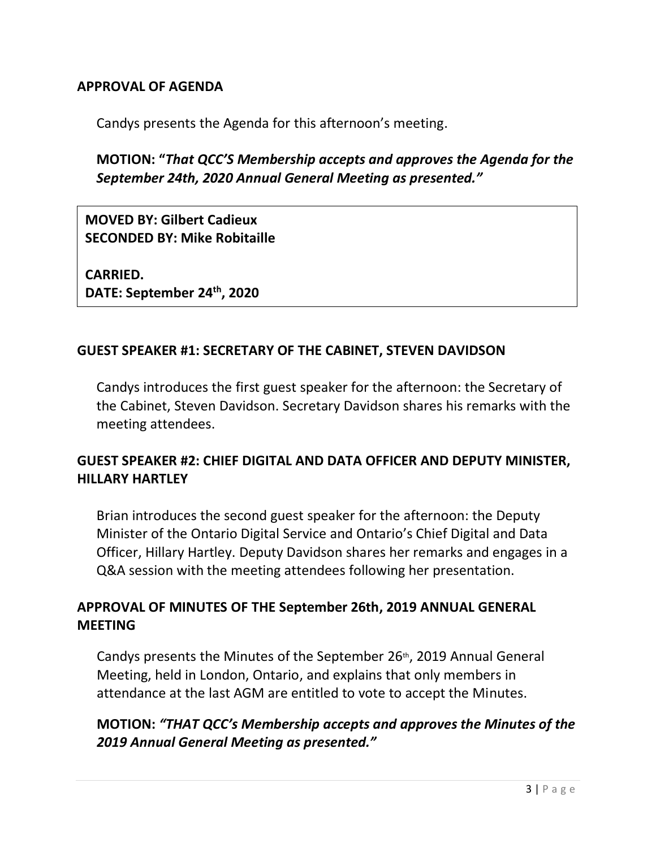## **APPROVAL OF AGENDA**

Candys presents the Agenda for this afternoon's meeting.

## **MOTION: "***That QCC'S Membership accepts and approves the Agenda for the September 24th, 2020 Annual General Meeting as presented."*

**MOVED BY: Gilbert Cadieux SECONDED BY: Mike Robitaille**

**CARRIED. DATE: September 24th, 2020**

#### **GUEST SPEAKER #1: SECRETARY OF THE CABINET, STEVEN DAVIDSON**

Candys introduces the first guest speaker for the afternoon: the Secretary of the Cabinet, Steven Davidson. Secretary Davidson shares his remarks with the meeting attendees.

## **GUEST SPEAKER #2: CHIEF DIGITAL AND DATA OFFICER AND DEPUTY MINISTER, HILLARY HARTLEY**

Brian introduces the second guest speaker for the afternoon: the Deputy Minister of the Ontario Digital Service and Ontario's Chief Digital and Data Officer, Hillary Hartley. Deputy Davidson shares her remarks and engages in a Q&A session with the meeting attendees following her presentation.

## **APPROVAL OF MINUTES OF THE September 26th, 2019 ANNUAL GENERAL MEETING**

Candys presents the Minutes of the September 26<sup>th</sup>, 2019 Annual General Meeting, held in London, Ontario, and explains that only members in attendance at the last AGM are entitled to vote to accept the Minutes.

## **MOTION:** *"THAT QCC's Membership accepts and approves the Minutes of the 2019 Annual General Meeting as presented."*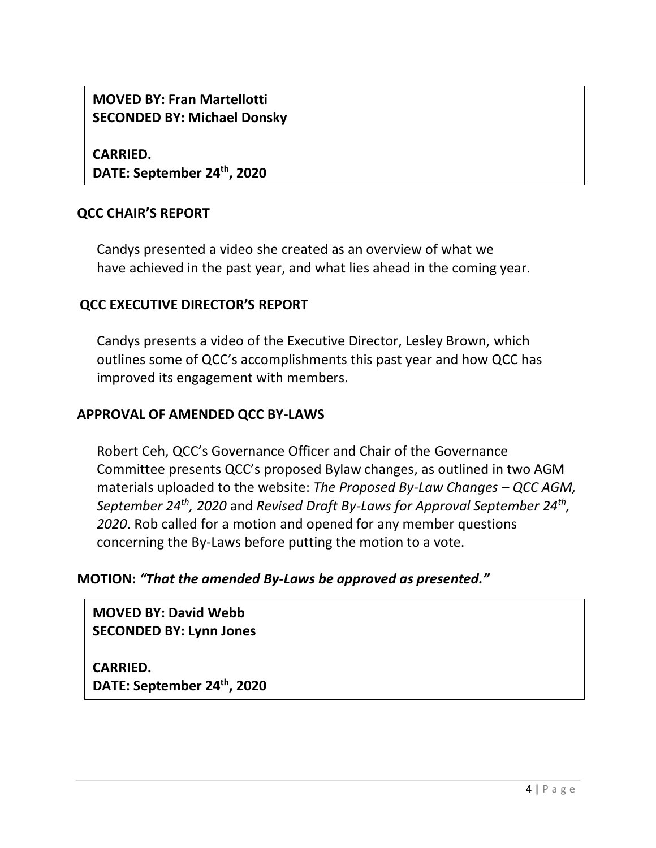**MOVED BY: Fran Martellotti SECONDED BY: Michael Donsky**

**CARRIED. DATE: September 24th, 2020**

## **QCC CHAIR'S REPORT**

Candys presented a video she created as an overview of what we have achieved in the past year, and what lies ahead in the coming year.

## **QCC EXECUTIVE DIRECTOR'S REPORT**

Candys presents a video of the Executive Director, Lesley Brown, which outlines some of QCC's accomplishments this past year and how QCC has improved its engagement with members.

#### **APPROVAL OF AMENDED QCC BY-LAWS**

Robert Ceh, QCC's Governance Officer and Chair of the Governance Committee presents QCC's proposed Bylaw changes, as outlined in two AGM materials uploaded to the website: *The Proposed By-Law Changes - QCC AGM*, *September 24th, 2020* and *Revised Draft By-Laws for Approval September 24th , 2020*. Rob called for a motion and opened for any member questions concerning the By-Laws before putting the motion to a vote.

## **MOTION:** *"That the amended By-Laws be approved as presented."*

**MOVED BY: David Webb SECONDED BY: Lynn Jones**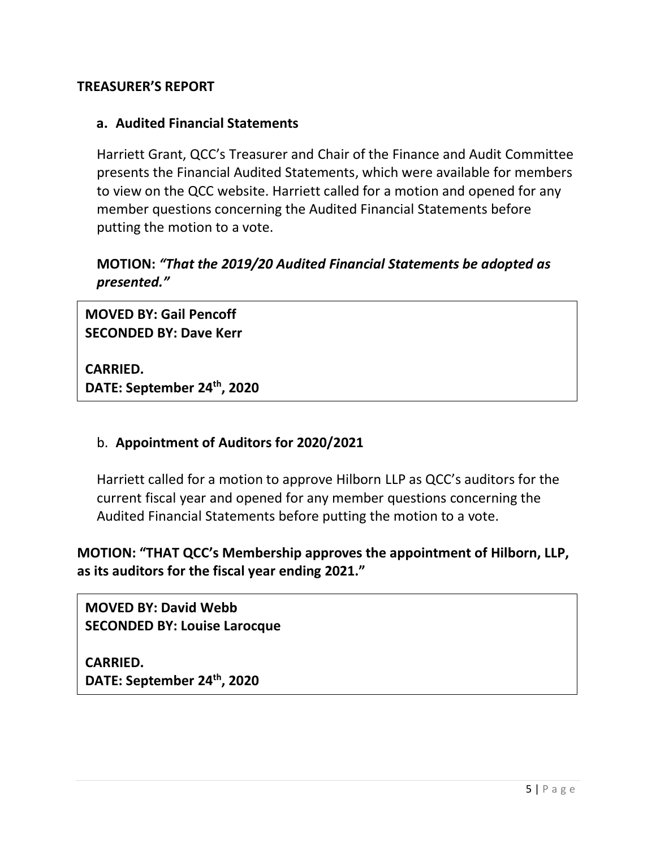## **TREASURER'S REPORT**

## **a. Audited Financial Statements**

Harriett Grant, QCC's Treasurer and Chair of the Finance and Audit Committee presents the Financial Audited Statements, which were available for members to view on the QCC website. Harriett called for a motion and opened for any member questions concerning the Audited Financial Statements before putting the motion to a vote.

## **MOTION:** *"That the 2019/20 Audited Financial Statements be adopted as presented."*

**MOVED BY: Gail Pencoff SECONDED BY: Dave Kerr**

**CARRIED. DATE: September 24th, 2020**

## b. **Appointment of Auditors for 2020/2021**

Harriett called for a motion to approve Hilborn LLP as QCC's auditors for the current fiscal year and opened for any member questions concerning the Audited Financial Statements before putting the motion to a vote.

**MOTION: "THAT QCC's Membership approves the appointment of Hilborn, LLP, as its auditors for the fiscal year ending 2021."**

**MOVED BY: David Webb SECONDED BY: Louise Larocque**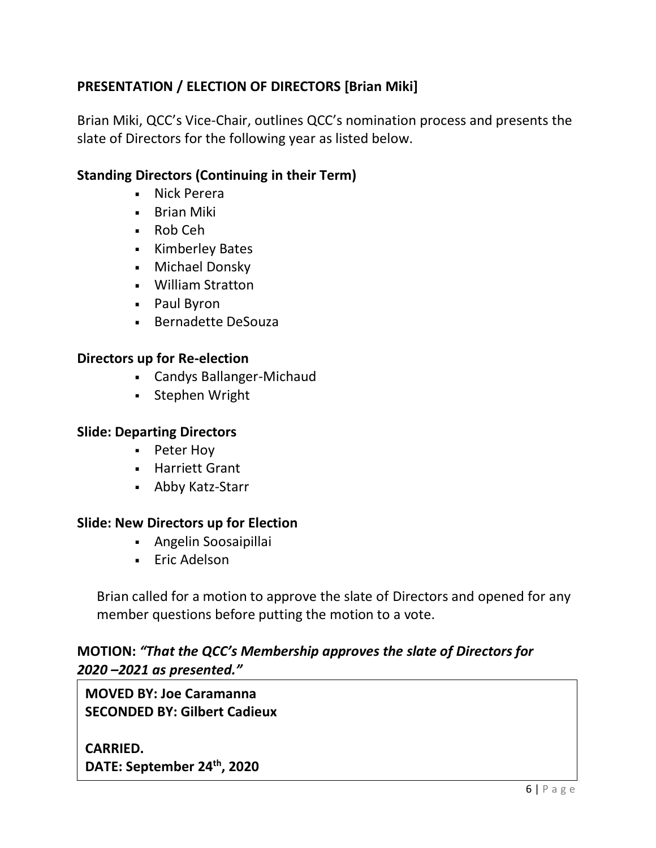# **PRESENTATION / ELECTION OF DIRECTORS [Brian Miki]**

Brian Miki, QCC's Vice-Chair, outlines QCC's nomination process and presents the slate of Directors for the following year as listed below.

## **Standing Directors (Continuing in their Term)**

- Nick Perera
- **Brian Miki**
- Rob Ceh
- Kimberley Bates
- **Nichael Donsky**
- William Stratton
- Paul Byron
- **Bernadette DeSouza**

#### **Directors up for Re-election**

- Candys Ballanger-Michaud
- **Stephen Wright**

#### **Slide: Departing Directors**

- **-** Peter Hoy
- **-** Harriett Grant
- Abby Katz-Starr

#### **Slide: New Directors up for Election**

- Angelin Soosaipillai
- **Eric Adelson**

Brian called for a motion to approve the slate of Directors and opened for any member questions before putting the motion to a vote.

## **MOTION:** *"That the QCC's Membership approves the slate of Directors for 2020 –2021 as presented."*

**MOVED BY: Joe Caramanna SECONDED BY: Gilbert Cadieux**

**CARRIED. DATE: September 24th, 2020**

 $\overline{\phantom{a}}$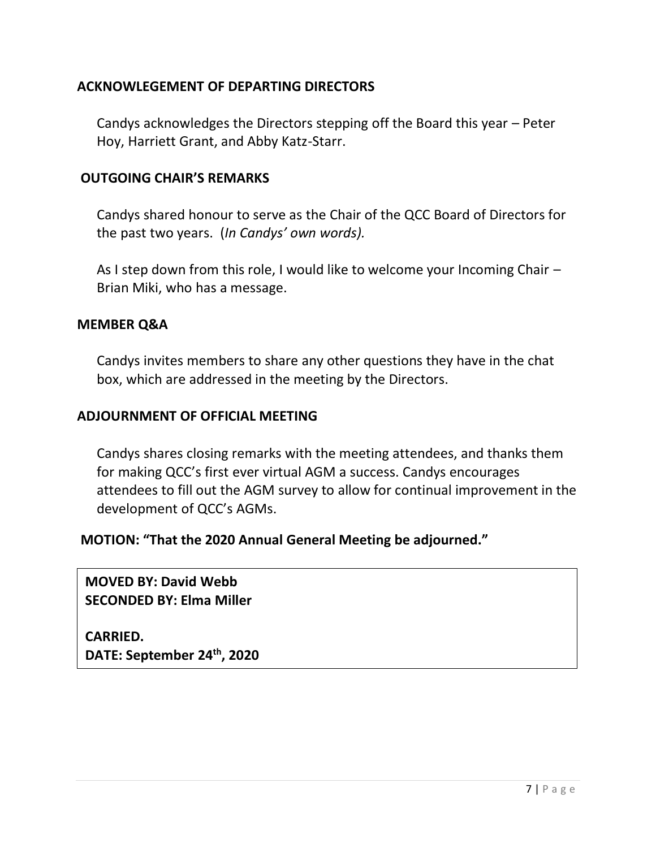## **ACKNOWLEGEMENT OF DEPARTING DIRECTORS**

Candys acknowledges the Directors stepping off the Board this year – Peter Hoy, Harriett Grant, and Abby Katz-Starr.

#### **OUTGOING CHAIR'S REMARKS**

Candys shared honour to serve as the Chair of the QCC Board of Directors for the past two years. (*In Candys' own words).*

As I step down from this role, I would like to welcome your Incoming Chair – Brian Miki, who has a message.

#### **MEMBER Q&A**

Candys invites members to share any other questions they have in the chat box, which are addressed in the meeting by the Directors.

#### **ADJOURNMENT OF OFFICIAL MEETING**

Candys shares closing remarks with the meeting attendees, and thanks them for making QCC's first ever virtual AGM a success. Candys encourages attendees to fill out the AGM survey to allow for continual improvement in the development of QCC's AGMs.

#### **MOTION: "That the 2020 Annual General Meeting be adjourned."**

**MOVED BY: David Webb SECONDED BY: Elma Miller**